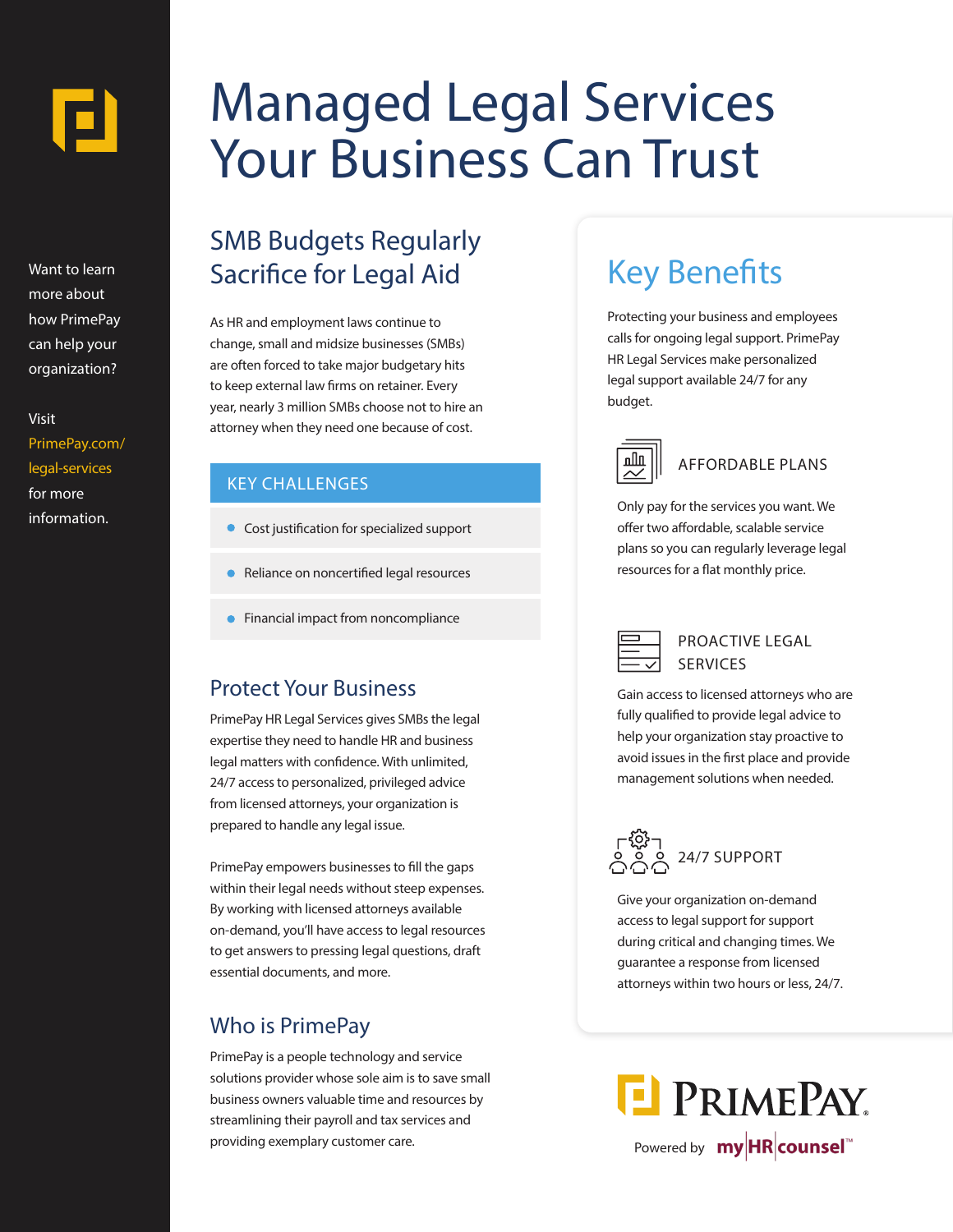

Want to learn more about how PrimePay can help your organization?

Visit PrimePay.com/ legal-services for more information.

# Managed Legal Services Your Business Can Trust

### SMB Budgets Regularly Sacrifice for Legal Aid

As HR and employment laws continue to change, small and midsize businesses (SMBs) are often forced to take major budgetary hits to keep external law firms on retainer. Every year, nearly 3 million SMBs choose not to hire an attorney when they need one because of cost.

#### KEY CHALLENGES

- **Cost justification for specialized support**
- Reliance on noncertified legal resources
- **•** Financial impact from noncompliance

#### Protect Your Business

PrimePay HR Legal Services gives SMBs the legal expertise they need to handle HR and business legal matters with confidence. With unlimited, 24/7 access to personalized, privileged advice from licensed attorneys, your organization is prepared to handle any legal issue.

PrimePay empowers businesses to fill the gaps within their legal needs without steep expenses. By working with licensed attorneys available on-demand, you'll have access to legal resources to get answers to pressing legal questions, draft essential documents, and more.

#### Who is PrimePay

PrimePay is a people technology and service solutions provider whose sole aim is to save small business owners valuable time and resources by streamlining their payroll and tax services and providing exemplary customer care.

### Key Benefits

Protecting your business and employees calls for ongoing legal support. PrimePay HR Legal Services make personalized legal support available 24/7 for any budget.



#### AFFORDABLE PLANS

Only pay for the services you want. We offer two affordable, scalable service plans so you can regularly leverage legal resources for a flat monthly price.



PROACTIVE LEGAL SERVICES

Gain access to licensed attorneys who are fully qualified to provide legal advice to help your organization stay proactive to avoid issues in the first place and provide management solutions when needed.



Give your organization on-demand access to legal support for support during critical and changing times. We guarantee a response from licensed attorneys within two hours or less, 24/7.